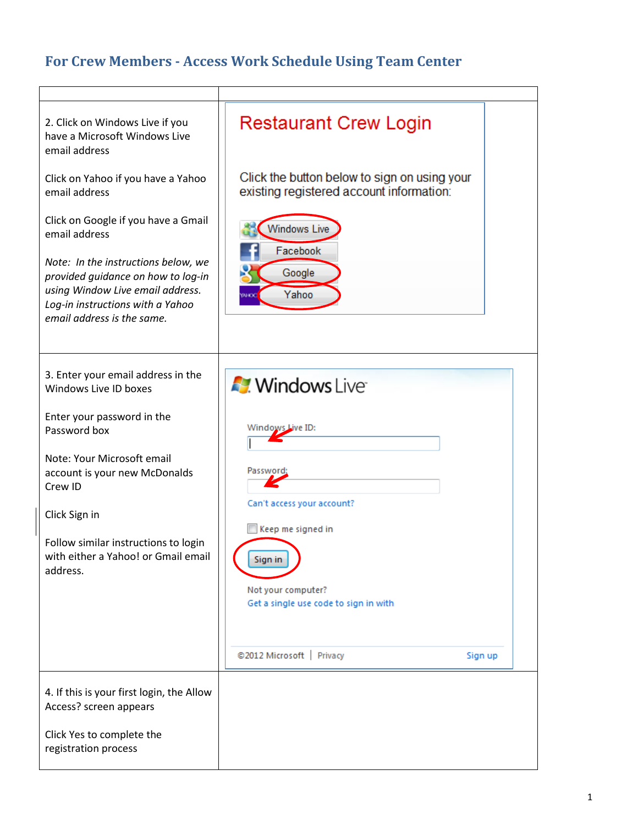## **For Crew Members - Access Work Schedule Using Team Center**

| 2. Click on Windows Live if you<br>have a Microsoft Windows Live<br>email address                                                                                               | <b>Restaurant Crew Login</b>                                                             |
|---------------------------------------------------------------------------------------------------------------------------------------------------------------------------------|------------------------------------------------------------------------------------------|
| Click on Yahoo if you have a Yahoo<br>email address                                                                                                                             | Click the button below to sign on using your<br>existing registered account information: |
| Click on Google if you have a Gmail<br>email address                                                                                                                            | <b>Windows Live</b><br>Facebook                                                          |
| Note: In the instructions below, we<br>provided guidance on how to log-in<br>using Window Live email address.<br>Log-in instructions with a Yahoo<br>email address is the same. | Google<br>Yahoo                                                                          |
|                                                                                                                                                                                 |                                                                                          |
| 3. Enter your email address in the<br>Windows Live ID boxes                                                                                                                     | <b>Mindows</b> Live                                                                      |
| Enter your password in the<br>Password box                                                                                                                                      | Windows Live ID:                                                                         |
| Note: Your Microsoft email<br>account is your new McDonalds<br>Crew ID                                                                                                          | Password:                                                                                |
| Click Sign in                                                                                                                                                                   | Can't access your account?                                                               |
| Follow similar instructions to login<br>with either a Yahoo! or Gmail email<br>address.                                                                                         | Keep me signed in<br>Sign in                                                             |
|                                                                                                                                                                                 | Not your computer?<br>Get a single use code to sign in with                              |
|                                                                                                                                                                                 |                                                                                          |
|                                                                                                                                                                                 | @2012 Microsoft   Privacy<br>Sign up                                                     |
| 4. If this is your first login, the Allow<br>Access? screen appears                                                                                                             |                                                                                          |
| Click Yes to complete the<br>registration process                                                                                                                               |                                                                                          |